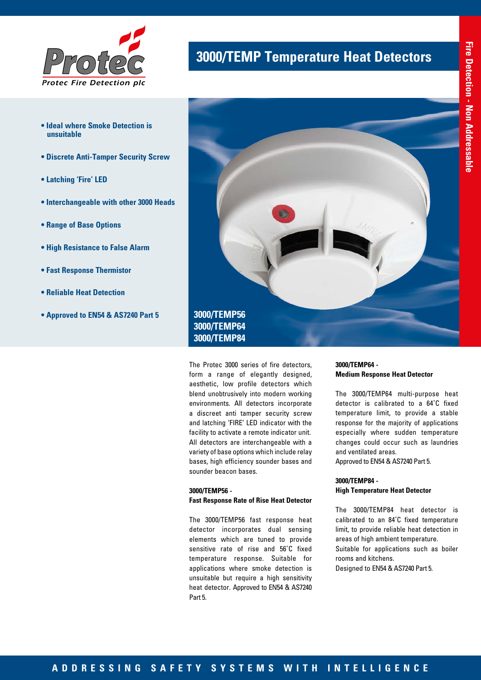

- **Ideal where Smoke Detection is unsuitable**
- **Discrete Anti-Tamper Security Screw**
- **Latching 'Fire' LED**
- **Interchangeable with other 3000 Heads**
- **Range of Base Options**
- **High Resistance to False Alarm**
- **Fast Response Thermistor**
- **Reliable Heat Detection**
- **Approved to EN54 & AS7240 Part 5**

## **3000/TEMP Temperature Heat Detectors**



The Protec 3000 series of fire detectors, form a range of elegantly designed, aesthetic, low profile detectors which blend unobtrusively into modern working environments. All detectors incorporate a discreet anti tamper security screw and latching 'FIRE' LED indicator with the facility to activate a remote indicator unit. All detectors are interchangeable with a variety of base options which include relay bases, high efficiency sounder bases and sounder beacon bases.

### **3000/TEMP56 - Fast Response Rate of Rise Heat Detector**

The 3000/TEMP56 fast response heat detector incorporates dual sensing elements which are tuned to provide sensitive rate of rise and 56˚C fixed temperature response. Suitable for applications where smoke detection is unsuitable but require a high sensitivity heat detector. Approved to EN54 & AS7240 Part 5.

#### **3000/TEMP64 - Medium Response Heat Detector**

The 3000/TEMP64 multi-purpose heat detector is calibrated to a 64˚C fixed temperature limit, to provide a stable response for the majority of applications especially where sudden temperature changes could occur such as laundries and ventilated areas.

Approved to EN54 & AS7240 Part 5.

## **3000/TEMP84 - High Temperature Heat Detector**

The 3000/TEMP84 heat detector is calibrated to an 84˚C fixed temperature limit, to provide reliable heat detection in areas of high ambient temperature. Suitable for applications such as boiler rooms and kitchens. Designed to EN54 & AS7240 Part 5.